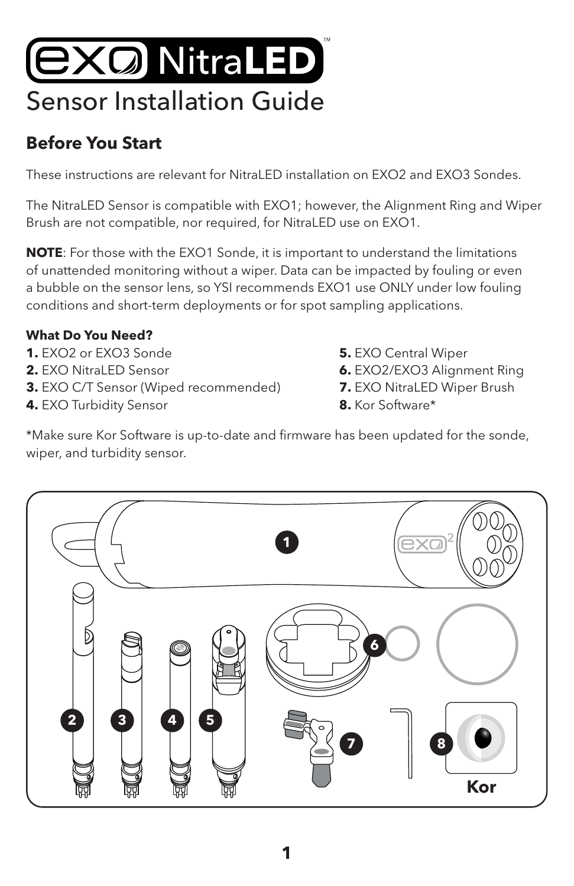# **EXQ NitraLED** Sensor Installation Guide

#### **Before You Start**

These instructions are relevant for Nitral ED installation on EXO2 and EXO3 Sondes.

The NitraLED Sensor is compatible with EXO1; however, the Alignment Ring and Wiper Brush are not compatible, nor required, for NitraLED use on EXO1.

**NOTE**: For those with the EXO1 Sonde, it is important to understand the limitations of unattended monitoring without a wiper. Data can be impacted by fouling or even a bubble on the sensor lens, so YSI recommends EXO1 use ONLY under low fouling conditions and short-term deployments or for spot sampling applications.

#### **What Do You Need?**

- **1.** EXO2 or EXO3 Sonde **5.** EXO Central Wiper
- 
- **3.** EXO C/T Sensor (Wiped recommended) **7.** EXO NitraLED Wiper Brush
- **4.** EXO Turbidity Sensor **8.** Kor Software\*
- 
- **2.** EXO NitraLED Sensor **6.** EXO2/EXO3 Alignment Ring
	-
	-

\*Make sure Kor Software is up-to-date and firmware has been updated for the sonde, wiper, and turbidity sensor.

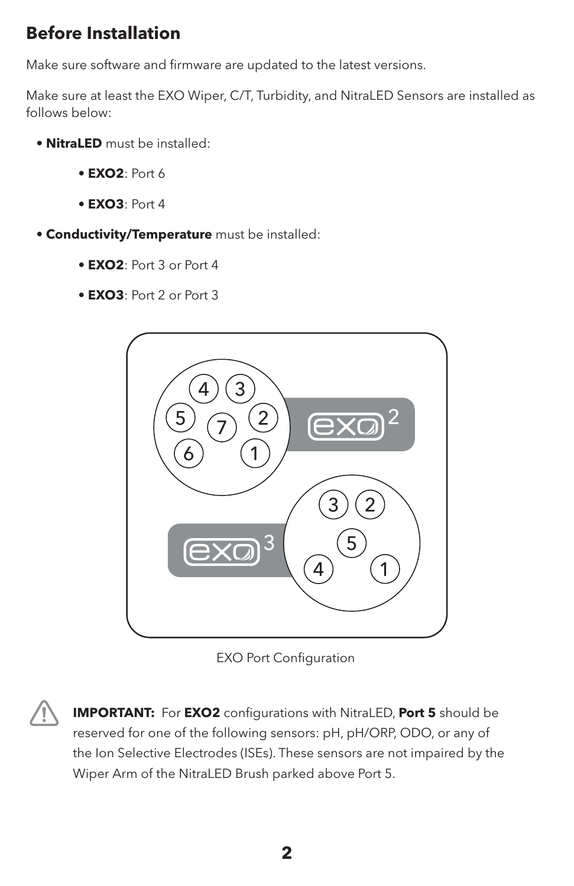#### **Before Installation**

Make sure software and firmware are updated to the latest versions.

Make sure at least the EXO Wiper, C/T, Turbidity, and NitraLED Sensors are installed as follows below:

- **NitraLED** must be installed:
	- **EXO2**: Port 6
	- **EXO3**: Port 4
- **Conductivity/Temperature** must be installed:
	- **EXO2**: Port 3 or Port 4
	- **EXO3**: Port 2 or Port 3



EXO Port Configuration

**IMPORTANT:** For **EXO2** configurations with NitraLED, **Port 5** should be reserved for one of the following sensors: pH, pH/ORP, ODO, or any of the Ion Selective Electrodes (ISEs). These sensors are not impaired by the Wiper Arm of the NitraLED Brush parked above Port 5.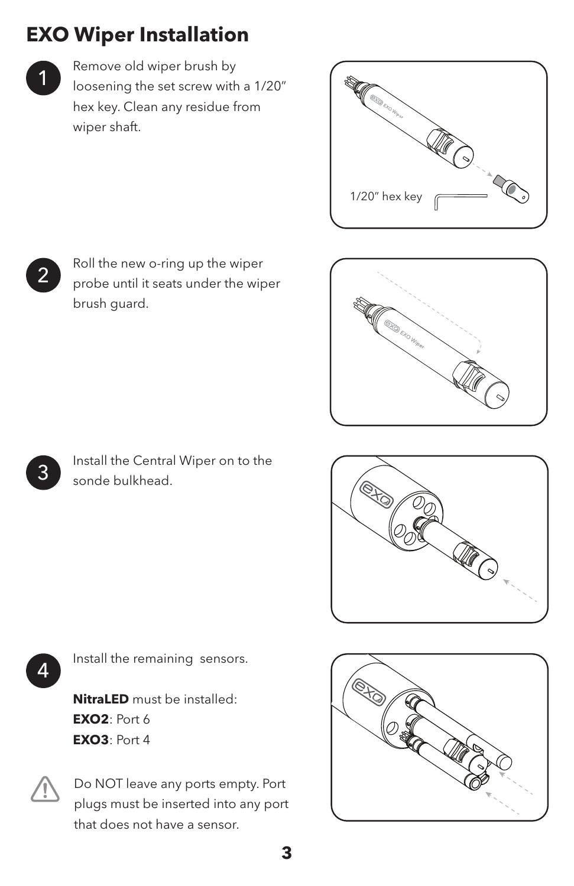# **EXO Wiper Installation**

Remove old wiper brush by loosening the set screw with a 1/20" hex key. Clean any residue from wiper shaft.







Install the Central Wiper on to the sonde bulkhead.



4

3

Install the remaining sensors.

**NitraLED** must be installed: **EXO2**: Port 6 **EXO3**: Port 4



Do NOT leave any ports empty. Port plugs must be inserted into any port that does not have a sensor.

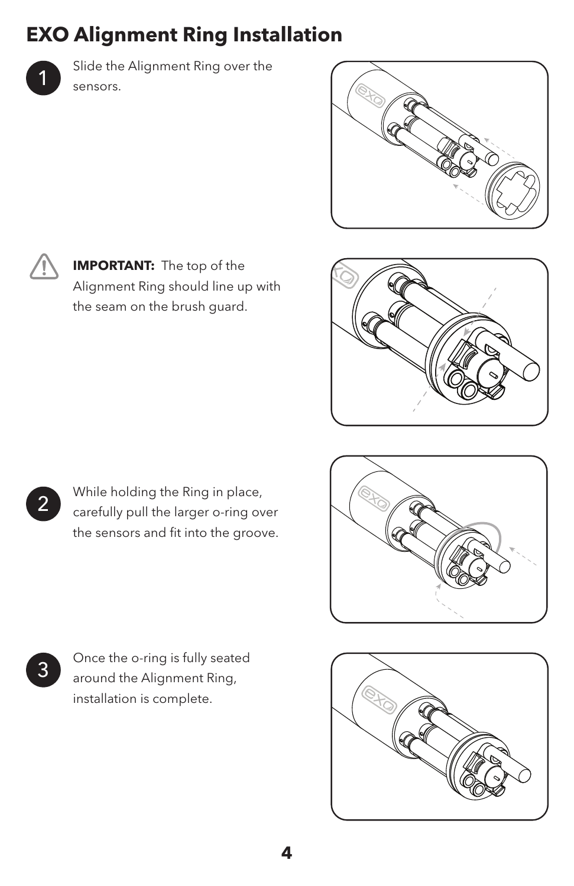# **EXO Alignment Ring Installation**



Slide the Alignment Ring over the sensors.



**IMPORTANT:** The top of the Alignment Ring should line up with the seam on the brush guard.



While holding the Ring in place, carefully pull the larger o-ring over the sensors and fit into the groove.



3 Once the o-ring is fully seated around the Alignment Ring, installation is complete.

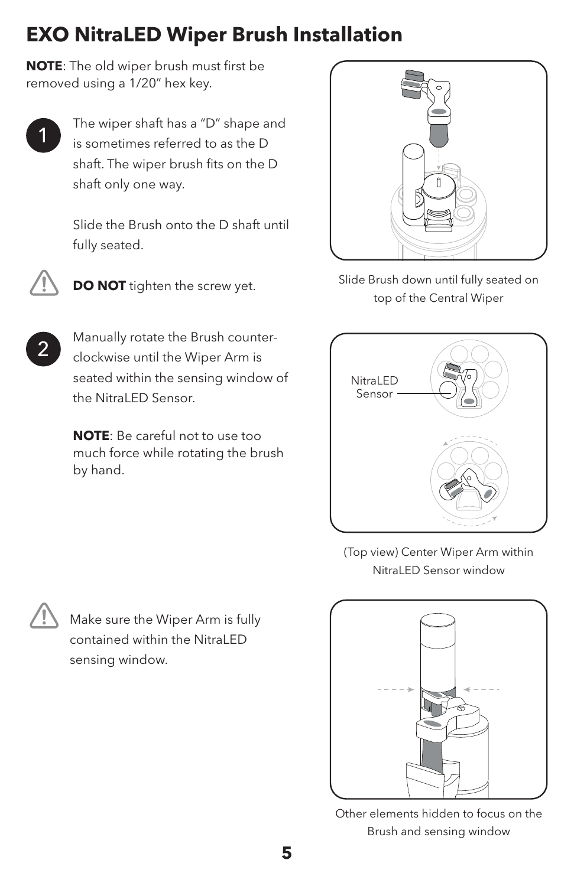## **EXO NitraLED Wiper Brush Installation**

**NOTE**: The old wiper brush must first be removed using a 1/20" hex key.

The wiper shaft has a "D" shape and is sometimes referred to as the D shaft. The wiper brush fits on the D shaft only one way.

Slide the Brush onto the D shaft until fully seated.



2



**NOTE**: Be careful not to use too much force while rotating the brush by hand.



**DO NOT** tighten the screw yet. Slide Brush down until fully seated on top of the Central Wiper



(Top view) Center Wiper Arm within NitraLED Sensor window

Make sure the Wiper Arm is fully contained within the Nitral FD sensing window.



Other elements hidden to focus on the Brush and sensing window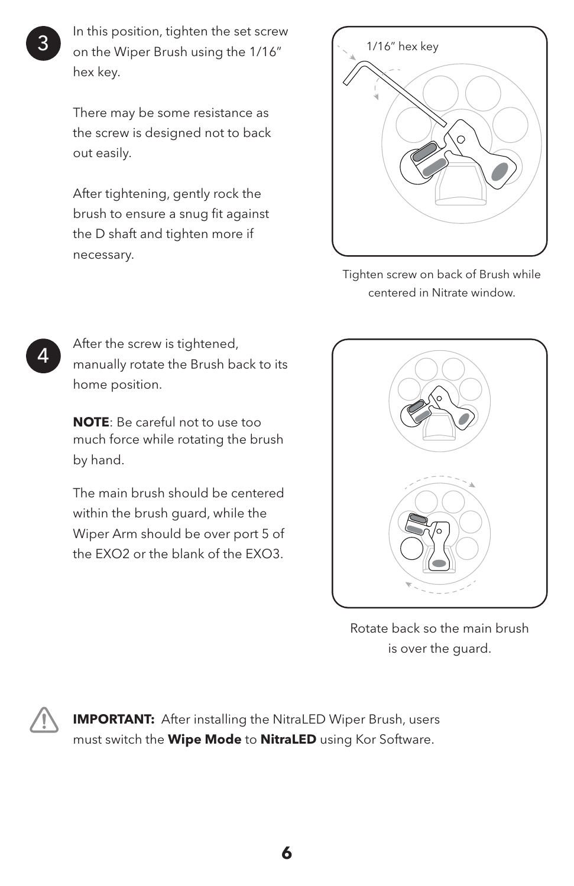In this position, tighten the set screw on the Wiper Brush using the 1/16" hex key.

There may be some resistance as the screw is designed not to back out easily.

After tightening, gently rock the brush to ensure a snug fit against the D shaft and tighten more if necessary.



Tighten screw on back of Brush while centered in Nitrate window.

After the screw is tightened, manually rotate the Brush back to its home position.

**NOTE**: Be careful not to use too much force while rotating the brush by hand.

The main brush should be centered within the brush guard, while the Wiper Arm should be over port 5 of the EXO2 or the blank of the EXO3.



Rotate back so the main brush is over the guard.

**IMPORTANT:** After installing the NitraLED Wiper Brush, users must switch the **Wipe Mode** to **NitraLED** using Kor Software.

**6**

3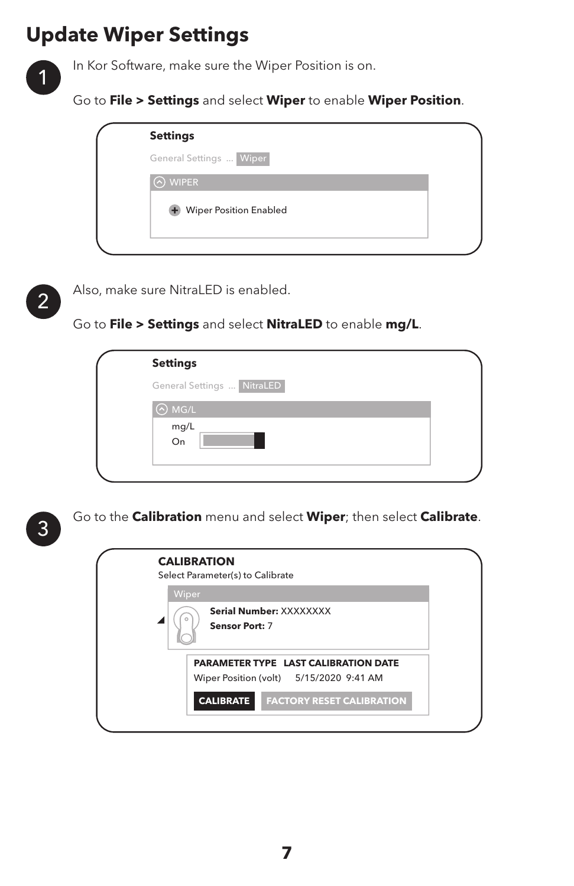### **Update Wiper Settings**

In Kor Software, make sure the Wiper Position is on.

Go to **File > Settings** and select **Wiper** to enable **Wiper Position**.

| <b>Settings</b>          |  |
|--------------------------|--|
| General Settings  Wiper  |  |
| <b>WIPER</b>             |  |
| + Wiper Position Enabled |  |
|                          |  |



1

Also, make sure NitraLED is enabled.

Go to **File > Settings** and select **NitraLED** to enable **mg/L**.

| <b>Settings</b>            |  |
|----------------------------|--|
| General Settings  NitraLED |  |
| $\odot$ MG/L               |  |
| mg/L<br>On                 |  |
|                            |  |



Go to the **Calibration** menu and select **Wiper**; then select **Calibrate**.

|       | Select Parameter(s) to Calibrate                                                |
|-------|---------------------------------------------------------------------------------|
| Wiper | Serial Number: XXXXXXXX<br><b>Sensor Port: 7</b>                                |
|       | PARAMETER TYPE LAST CALIBRATION DATE<br>Wiper Position (volt) 5/15/2020 9:41 AM |
|       | <b>CALIBRATE</b><br><b>FACTORY RESET CALIBRATION</b>                            |